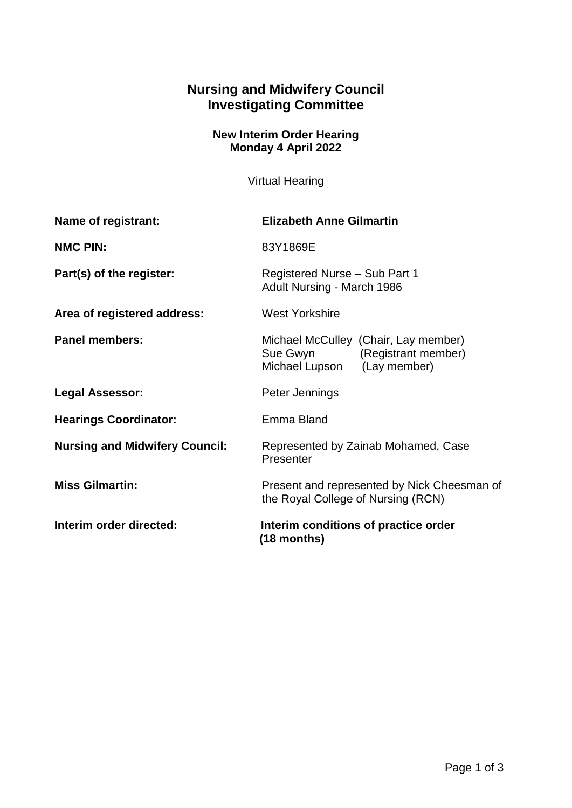## **Nursing and Midwifery Council Investigating Committee**

## **New Interim Order Hearing Monday 4 April 2022**

Virtual Hearing

| Name of registrant:                   | <b>Elizabeth Anne Gilmartin</b>                                                                     |
|---------------------------------------|-----------------------------------------------------------------------------------------------------|
| <b>NMC PIN:</b>                       | 83Y1869E                                                                                            |
| Part(s) of the register:              | Registered Nurse - Sub Part 1<br>Adult Nursing - March 1986                                         |
| Area of registered address:           | <b>West Yorkshire</b>                                                                               |
| <b>Panel members:</b>                 | Michael McCulley (Chair, Lay member)<br>Sue Gwyn (Registrant member)<br>Michael Lupson (Lay member) |
| <b>Legal Assessor:</b>                | Peter Jennings                                                                                      |
| <b>Hearings Coordinator:</b>          | Emma Bland                                                                                          |
| <b>Nursing and Midwifery Council:</b> | Represented by Zainab Mohamed, Case<br>Presenter                                                    |
| <b>Miss Gilmartin:</b>                | Present and represented by Nick Cheesman of<br>the Royal College of Nursing (RCN)                   |
| Interim order directed:               | Interim conditions of practice order<br>$(18$ months)                                               |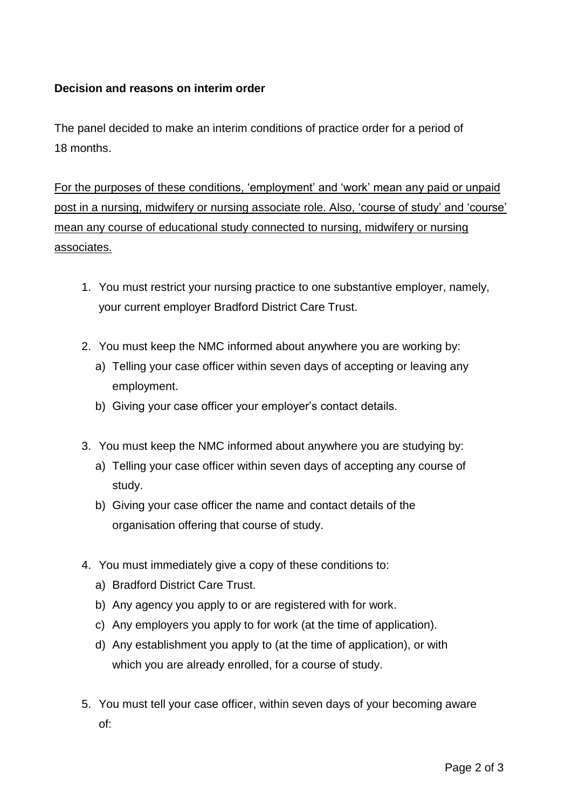## **Decision and reasons on interim order**

The panel decided to make an interim conditions of practice order for a period of 18 months.

For the purposes of these conditions, 'employment' and 'work' mean any paid or unpaid post in a nursing, midwifery or nursing associate role. Also, 'course of study' and 'course' mean any course of educational study connected to nursing, midwifery or nursing associates.

- 1. You must restrict your nursing practice to one substantive employer, namely, your current employer Bradford District Care Trust.
- 2. You must keep the NMC informed about anywhere you are working by:
	- a) Telling your case officer within seven days of accepting or leaving any employment.
	- b) Giving your case officer your employer's contact details.
- 3. You must keep the NMC informed about anywhere you are studying by:
	- a) Telling your case officer within seven days of accepting any course of study.
	- b) Giving your case officer the name and contact details of the organisation offering that course of study.
- 4. You must immediately give a copy of these conditions to:
	- a) Bradford District Care Trust.
	- b) Any agency you apply to or are registered with for work.
	- c) Any employers you apply to for work (at the time of application).
	- d) Any establishment you apply to (at the time of application), or with which you are already enrolled, for a course of study.
- 5. You must tell your case officer, within seven days of your becoming aware of: